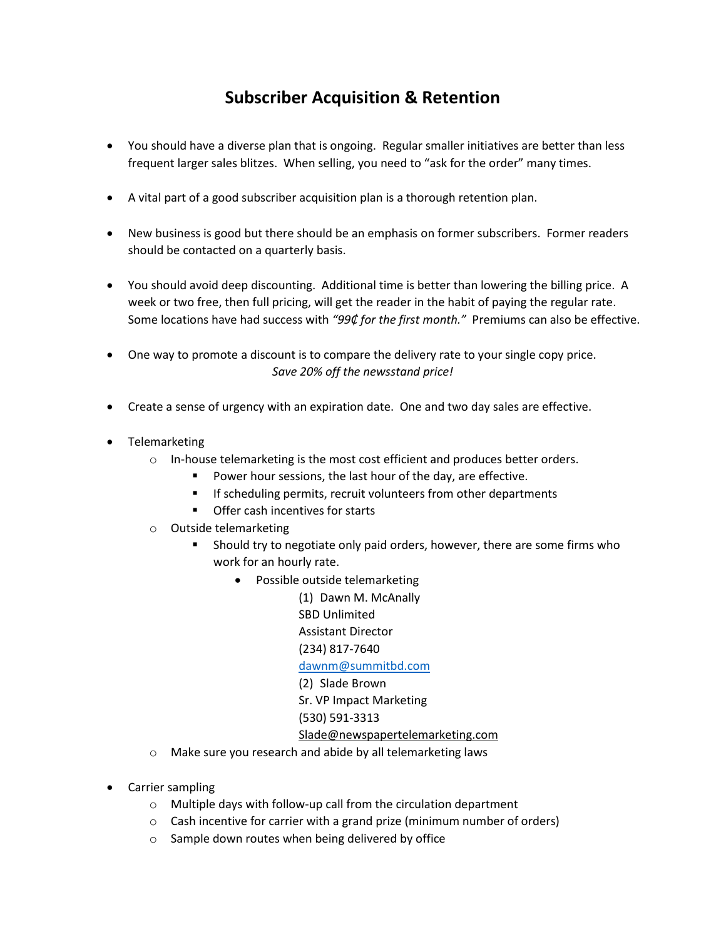## **Subscriber Acquisition & Retention**

- You should have a diverse plan that is ongoing. Regular smaller initiatives are better than less frequent larger sales blitzes. When selling, you need to "ask for the order" many times.
- A vital part of a good subscriber acquisition plan is a thorough retention plan.
- New business is good but there should be an emphasis on former subscribers. Former readers should be contacted on a quarterly basis.
- You should avoid deep discounting. Additional time is better than lowering the billing price. A week or two free, then full pricing, will get the reader in the habit of paying the regular rate. Some locations have had success with *"99₵ for the first month."* Premiums can also be effective.
- One way to promote a discount is to compare the delivery rate to your single copy price. *Save 20% off the newsstand price!*
- Create a sense of urgency with an expiration date. One and two day sales are effective.
- Telemarketing
	- $\circ$  In-house telemarketing is the most cost efficient and produces better orders.
		- **Power hour sessions, the last hour of the day, are effective.**
		- **IF** If scheduling permits, recruit volunteers from other departments
		- **•** Offer cash incentives for starts
	- o Outside telemarketing
		- Should try to negotiate only paid orders, however, there are some firms who work for an hourly rate.
			- Possible outside telemarketing
				- (1) Dawn M. McAnally SBD Unlimited Assistant Director (234) 817-7640 [dawnm@summitbd.com](mailto:dawnm@summitbd.com) (2) Slade Brown Sr. VP Impact Marketing (530) 591-3313 [Slade@newspapertelemarketing.com](mailto:Slade@newspapertelemarketing.com)
	- o Make sure you research and abide by all telemarketing laws
- Carrier sampling
	- o Multiple days with follow-up call from the circulation department
	- o Cash incentive for carrier with a grand prize (minimum number of orders)
	- o Sample down routes when being delivered by office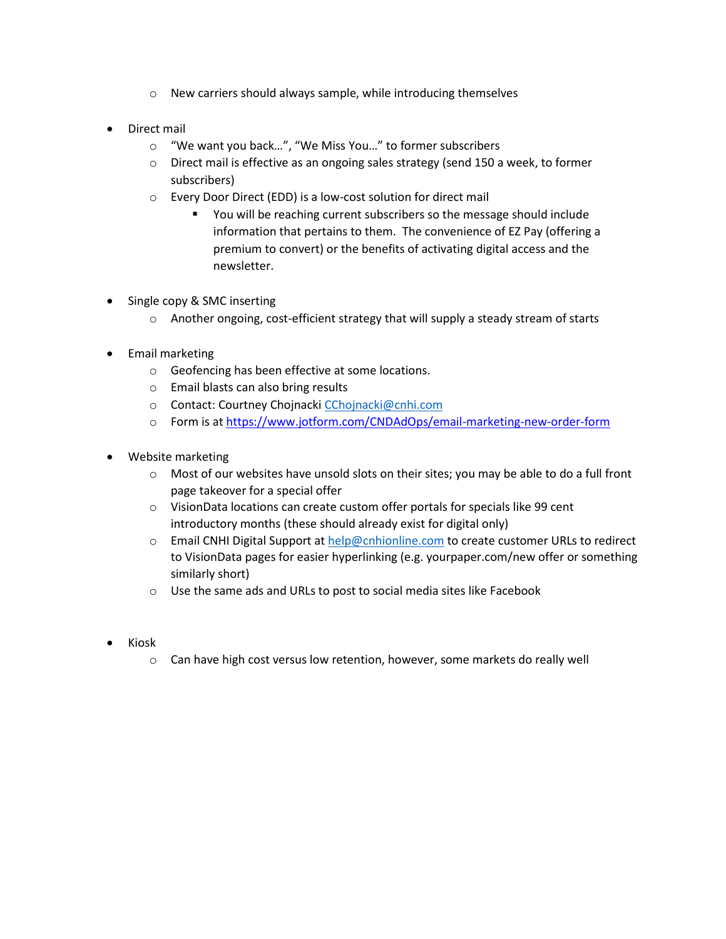- o New carriers should always sample, while introducing themselves
- Direct mail
	- o "We want you back…", "We Miss You…" to former subscribers
	- o Direct mail is effective as an ongoing sales strategy (send 150 a week, to former subscribers)
	- o Every Door Direct (EDD) is a low-cost solution for direct mail
		- You will be reaching current subscribers so the message should include information that pertains to them. The convenience of EZ Pay (offering a premium to convert) or the benefits of activating digital access and the newsletter.
- Single copy & SMC inserting
	- o Another ongoing, cost-efficient strategy that will supply a steady stream of starts
- Email marketing
	- o Geofencing has been effective at some locations.
	- o Email blasts can also bring results
	- o Contact: Courtney Chojnack[i CChojnacki@cnhi.com](mailto:CChojnacki@cnhi.com)
	- o Form is a[t https://www.jotform.com/CNDAdOps/email-marketing-new-order-form](https://www.jotform.com/CNDAdOps/email-marketing-new-order-form)
- Website marketing
	- o Most of our websites have unsold slots on their sites; you may be able to do a full front page takeover for a special offer
	- o VisionData locations can create custom offer portals for specials like 99 cent introductory months (these should already exist for digital only)
	- o Email CNHI Digital Support a[t help@cnhionline.com](mailto:help@cnhionline.com) to create customer URLs to redirect to VisionData pages for easier hyperlinking (e.g. yourpaper.com/new offer or something similarly short)
	- $\circ$  Use the same ads and URLs to post to social media sites like Facebook
- Kiosk
	- $\circ$  Can have high cost versus low retention, however, some markets do really well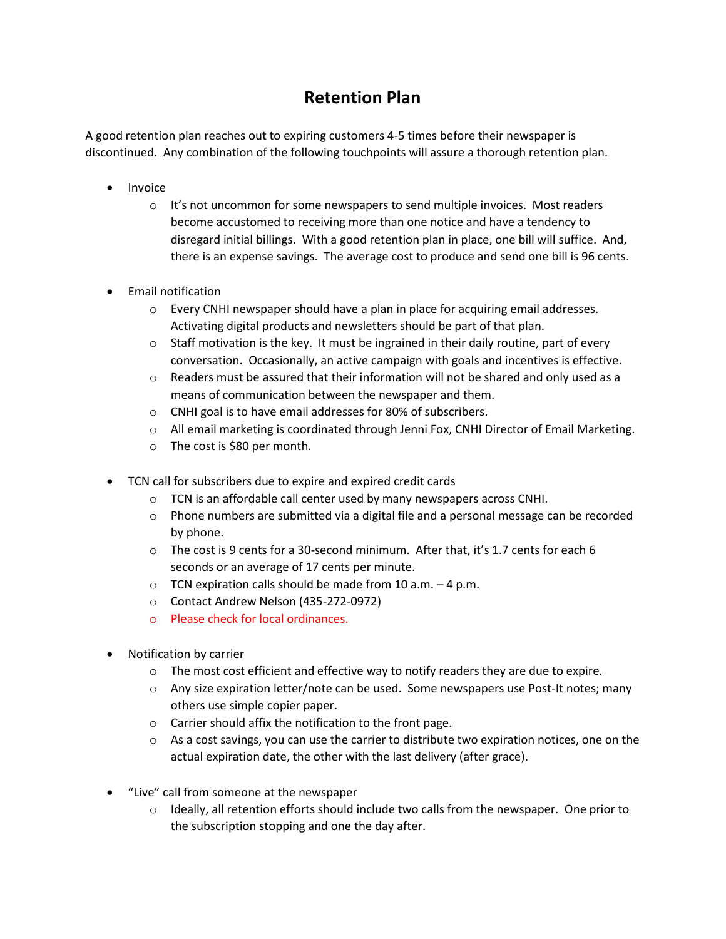## **Retention Plan**

A good retention plan reaches out to expiring customers 4-5 times before their newspaper is discontinued. Any combination of the following touchpoints will assure a thorough retention plan.

- Invoice
	- $\circ$  It's not uncommon for some newspapers to send multiple invoices. Most readers become accustomed to receiving more than one notice and have a tendency to disregard initial billings. With a good retention plan in place, one bill will suffice. And, there is an expense savings. The average cost to produce and send one bill is 96 cents.
- Email notification
	- $\circ$  Every CNHI newspaper should have a plan in place for acquiring email addresses. Activating digital products and newsletters should be part of that plan.
	- $\circ$  Staff motivation is the key. It must be ingrained in their daily routine, part of every conversation. Occasionally, an active campaign with goals and incentives is effective.
	- o Readers must be assured that their information will not be shared and only used as a means of communication between the newspaper and them.
	- o CNHI goal is to have email addresses for 80% of subscribers.
	- o All email marketing is coordinated through Jenni Fox, CNHI Director of Email Marketing.
	- o The cost is \$80 per month.
- TCN call for subscribers due to expire and expired credit cards
	- o TCN is an affordable call center used by many newspapers across CNHI.
	- $\circ$  Phone numbers are submitted via a digital file and a personal message can be recorded by phone.
	- $\circ$  The cost is 9 cents for a 30-second minimum. After that, it's 1.7 cents for each 6 seconds or an average of 17 cents per minute.
	- $\circ$  TCN expiration calls should be made from 10 a.m.  $-4$  p.m.
	- o Contact Andrew Nelson (435-272-0972)
	- o Please check for local ordinances.
- Notification by carrier
	- $\circ$  The most cost efficient and effective way to notify readers they are due to expire.
	- $\circ$  Any size expiration letter/note can be used. Some newspapers use Post-It notes; many others use simple copier paper.
	- o Carrier should affix the notification to the front page.
	- $\circ$  As a cost savings, you can use the carrier to distribute two expiration notices, one on the actual expiration date, the other with the last delivery (after grace).
- "Live" call from someone at the newspaper
	- $\circ$  Ideally, all retention efforts should include two calls from the newspaper. One prior to the subscription stopping and one the day after.